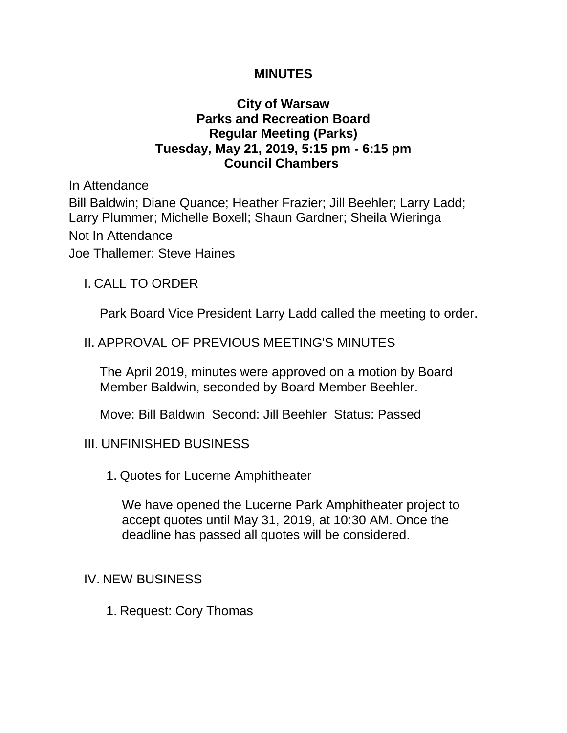## **MINUTES**

# **City of Warsaw Parks and Recreation Board Regular Meeting (Parks) Tuesday, May 21, 2019, 5:15 pm - 6:15 pm Council Chambers**

In Attendance Bill Baldwin; Diane Quance; Heather Frazier; Jill Beehler; Larry Ladd; Larry Plummer; Michelle Boxell; Shaun Gardner; Sheila Wieringa Not In Attendance Joe Thallemer; Steve Haines

# I. CALL TO ORDER

Park Board Vice President Larry Ladd called the meeting to order.

# II. APPROVAL OF PREVIOUS MEETING'S MINUTES

The April 2019, minutes were approved on a motion by Board Member Baldwin, seconded by Board Member Beehler.

Move: Bill Baldwin Second: Jill Beehler Status: Passed

### III. UNFINISHED BUSINESS

1. Quotes for Lucerne Amphitheater

We have opened the Lucerne Park Amphitheater project to accept quotes until May 31, 2019, at 10:30 AM. Once the deadline has passed all quotes will be considered.

# IV. NEW BUSINESS

1. Request: Cory Thomas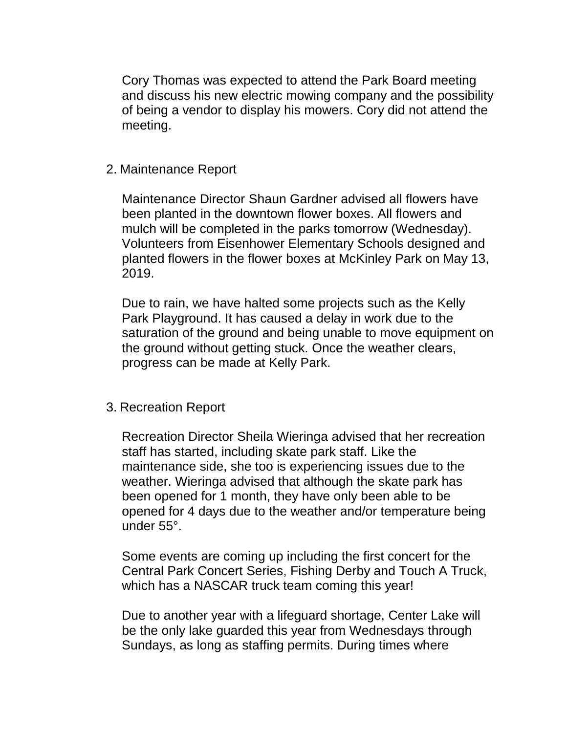Cory Thomas was expected to attend the Park Board meeting and discuss his new electric mowing company and the possibility of being a vendor to display his mowers. Cory did not attend the meeting.

#### 2. Maintenance Report

Maintenance Director Shaun Gardner advised all flowers have been planted in the downtown flower boxes. All flowers and mulch will be completed in the parks tomorrow (Wednesday). Volunteers from Eisenhower Elementary Schools designed and planted flowers in the flower boxes at McKinley Park on May 13, 2019.

Due to rain, we have halted some projects such as the Kelly Park Playground. It has caused a delay in work due to the saturation of the ground and being unable to move equipment on the ground without getting stuck. Once the weather clears, progress can be made at Kelly Park.

### 3. Recreation Report

Recreation Director Sheila Wieringa advised that her recreation staff has started, including skate park staff. Like the maintenance side, she too is experiencing issues due to the weather. Wieringa advised that although the skate park has been opened for 1 month, they have only been able to be opened for 4 days due to the weather and/or temperature being under 55°.

Some events are coming up including the first concert for the Central Park Concert Series, Fishing Derby and Touch A Truck, which has a NASCAR truck team coming this year!

Due to another year with a lifeguard shortage, Center Lake will be the only lake guarded this year from Wednesdays through Sundays, as long as staffing permits. During times where